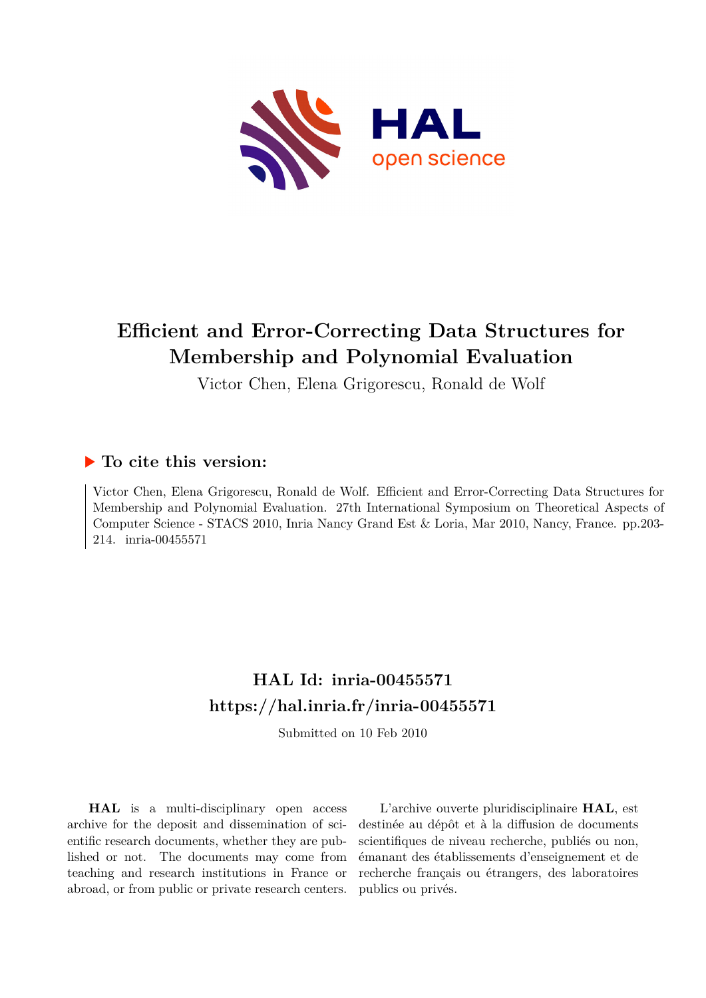

# **Efficient and Error-Correcting Data Structures for Membership and Polynomial Evaluation**

Victor Chen, Elena Grigorescu, Ronald de Wolf

## **To cite this version:**

Victor Chen, Elena Grigorescu, Ronald de Wolf. Efficient and Error-Correcting Data Structures for Membership and Polynomial Evaluation. 27th International Symposium on Theoretical Aspects of Computer Science - STACS 2010, Inria Nancy Grand Est & Loria, Mar 2010, Nancy, France. pp.203- 214. inria-00455571

# **HAL Id: inria-00455571 <https://hal.inria.fr/inria-00455571>**

Submitted on 10 Feb 2010

**HAL** is a multi-disciplinary open access archive for the deposit and dissemination of scientific research documents, whether they are published or not. The documents may come from teaching and research institutions in France or abroad, or from public or private research centers.

L'archive ouverte pluridisciplinaire **HAL**, est destinée au dépôt et à la diffusion de documents scientifiques de niveau recherche, publiés ou non, émanant des établissements d'enseignement et de recherche français ou étrangers, des laboratoires publics ou privés.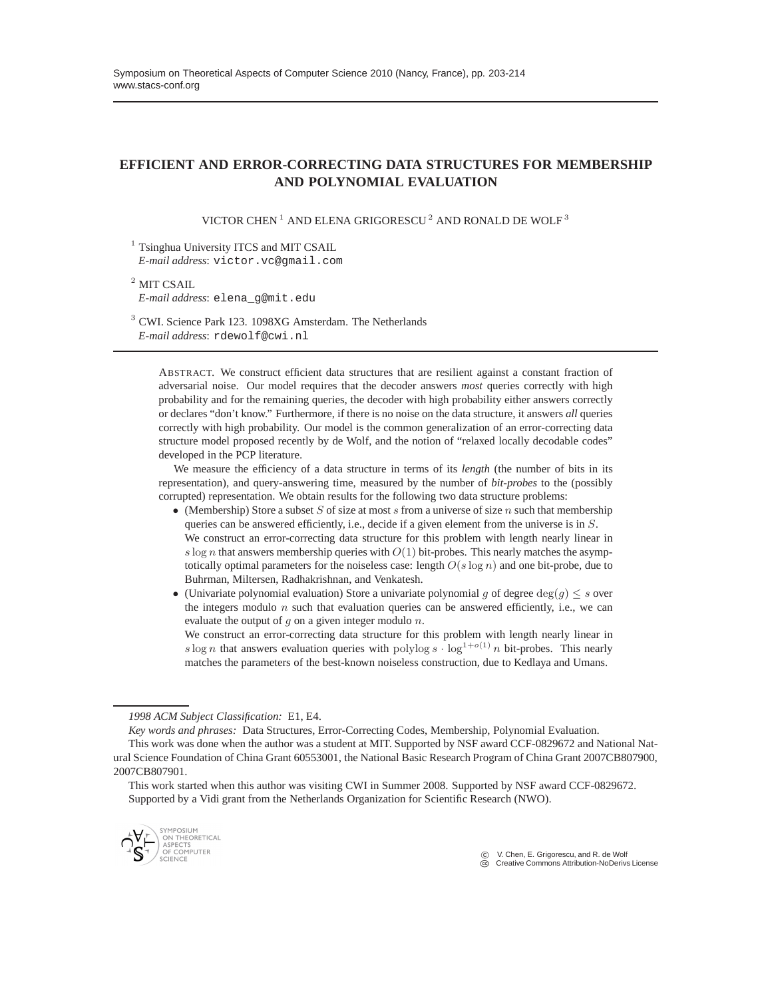### **EFFICIENT AND ERROR-CORRECTING DATA STRUCTURES FOR MEMBERSHIP AND POLYNOMIAL EVALUATION**

VICTOR CHEN<sup>1</sup> AND ELENA GRIGORESCU<sup>2</sup> AND RONALD DE WOLF<sup>3</sup>

 $<sup>1</sup>$  Tsinghua University ITCS and MIT CSAIL</sup> *E-mail address*: victor.vc@gmail.com

<sup>2</sup> MIT CSAIL *E-mail address*: elena\_g@mit.edu

<sup>3</sup> CWI. Science Park 123. 1098XG Amsterdam. The Netherlands *E-mail address*: rdewolf@cwi.nl

ABSTRACT. We construct efficient data structures that are resilient against a constant fraction of adversarial noise. Our model requires that the decoder answers *most* queries correctly with high probability and for the remaining queries, the decoder with high probability either answers correctly or declares "don't know." Furthermore, if there is no noise on the data structure, it answers *all* queries correctly with high probability. Our model is the common generalization of an error-correcting data structure model proposed recently by de Wolf, and the notion of "relaxed locally decodable codes" developed in the PCP literature.

We measure the efficiency of a data structure in terms of its *length* (the number of bits in its representation), and query-answering time, measured by the number of *bit-probes* to the (possibly corrupted) representation. We obtain results for the following two data structure problems:

- (Membership) Store a subset  $S$  of size at most  $s$  from a universe of size  $n$  such that membership queries can be answered efficiently, i.e., decide if a given element from the universe is in S. We construct an error-correcting data structure for this problem with length nearly linear in s log n that answers membership queries with  $O(1)$  bit-probes. This nearly matches the asymptotically optimal parameters for the noiseless case: length  $O(s \log n)$  and one bit-probe, due to Buhrman, Miltersen, Radhakrishnan, and Venkatesh.
- (Univariate polynomial evaluation) Store a univariate polynomial g of degree  $\deg(g) \leq s$  over the integers modulo  $n$  such that evaluation queries can be answered efficiently, i.e., we can evaluate the output of  $q$  on a given integer modulo  $n$ .

We construct an error-correcting data structure for this problem with length nearly linear in s log n that answers evaluation queries with polylog s  $\cdot \log^{1+o(1)} n$  bit-probes. This nearly matches the parameters of the best-known noiseless construction, due to Kedlaya and Umans.

*1998 ACM Subject Classification:* E1, E4.

*Key words and phrases:* Data Structures, Error-Correcting Codes, Membership, Polynomial Evaluation.

This work started when this author was visiting CWI in Summer 2008. Supported by NSF award CCF-0829672. Supported by a Vidi grant from the Netherlands Organization for Scientific Research (NWO).



 c V. Chen, E. Grigorescu, and R. de Wolf Creative Commons Attribution-NoDerivs License

This work was done when the author was a student at MIT. Supported by NSF award CCF-0829672 and National Natural Science Foundation of China Grant 60553001, the National Basic Research Program of China Grant 2007CB807900, 2007CB807901.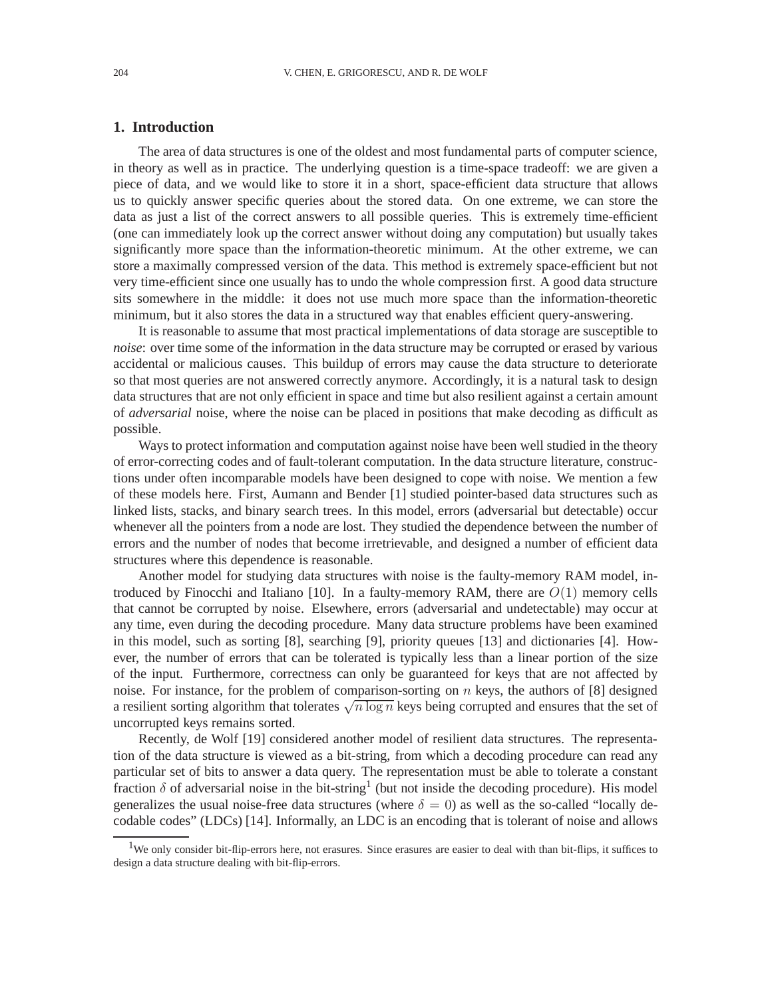### **1. Introduction**

The area of data structures is one of the oldest and most fundamental parts of computer science, in theory as well as in practice. The underlying question is a time-space tradeoff: we are given a piece of data, and we would like to store it in a short, space-efficient data structure that allows us to quickly answer specific queries about the stored data. On one extreme, we can store the data as just a list of the correct answers to all possible queries. This is extremely time-efficient (one can immediately look up the correct answer without doing any computation) but usually takes significantly more space than the information-theoretic minimum. At the other extreme, we can store a maximally compressed version of the data. This method is extremely space-efficient but not very time-efficient since one usually has to undo the whole compression first. A good data structure sits somewhere in the middle: it does not use much more space than the information-theoretic minimum, but it also stores the data in a structured way that enables efficient query-answering.

It is reasonable to assume that most practical implementations of data storage are susceptible to *noise*: over time some of the information in the data structure may be corrupted or erased by various accidental or malicious causes. This buildup of errors may cause the data structure to deteriorate so that most queries are not answered correctly anymore. Accordingly, it is a natural task to design data structures that are not only efficient in space and time but also resilient against a certain amount of *adversarial* noise, where the noise can be placed in positions that make decoding as difficult as possible.

Ways to protect information and computation against noise have been well studied in the theory of error-correcting codes and of fault-tolerant computation. In the data structure literature, constructions under often incomparable models have been designed to cope with noise. We mention a few of these models here. First, Aumann and Bender [1] studied pointer-based data structures such as linked lists, stacks, and binary search trees. In this model, errors (adversarial but detectable) occur whenever all the pointers from a node are lost. They studied the dependence between the number of errors and the number of nodes that become irretrievable, and designed a number of efficient data structures where this dependence is reasonable.

Another model for studying data structures with noise is the faulty-memory RAM model, introduced by Finocchi and Italiano [10]. In a faulty-memory RAM, there are  $O(1)$  memory cells that cannot be corrupted by noise. Elsewhere, errors (adversarial and undetectable) may occur at any time, even during the decoding procedure. Many data structure problems have been examined in this model, such as sorting [8], searching [9], priority queues [13] and dictionaries [4]. However, the number of errors that can be tolerated is typically less than a linear portion of the size of the input. Furthermore, correctness can only be guaranteed for keys that are not affected by noise. For instance, for the problem of comparison-sorting on  $n$  keys, the authors of [8] designed a resilient sorting algorithm that tolerates  $\sqrt{n \log n}$  keys being corrupted and ensures that the set of uncorrupted keys remains sorted.

Recently, de Wolf [19] considered another model of resilient data structures. The representation of the data structure is viewed as a bit-string, from which a decoding procedure can read any particular set of bits to answer a data query. The representation must be able to tolerate a constant fraction  $\delta$  of adversarial noise in the bit-string<sup>1</sup> (but not inside the decoding procedure). His model generalizes the usual noise-free data structures (where  $\delta = 0$ ) as well as the so-called "locally decodable codes" (LDCs) [14]. Informally, an LDC is an encoding that is tolerant of noise and allows

<sup>&</sup>lt;sup>1</sup>We only consider bit-flip-errors here, not erasures. Since erasures are easier to deal with than bit-flips, it suffices to design a data structure dealing with bit-flip-errors.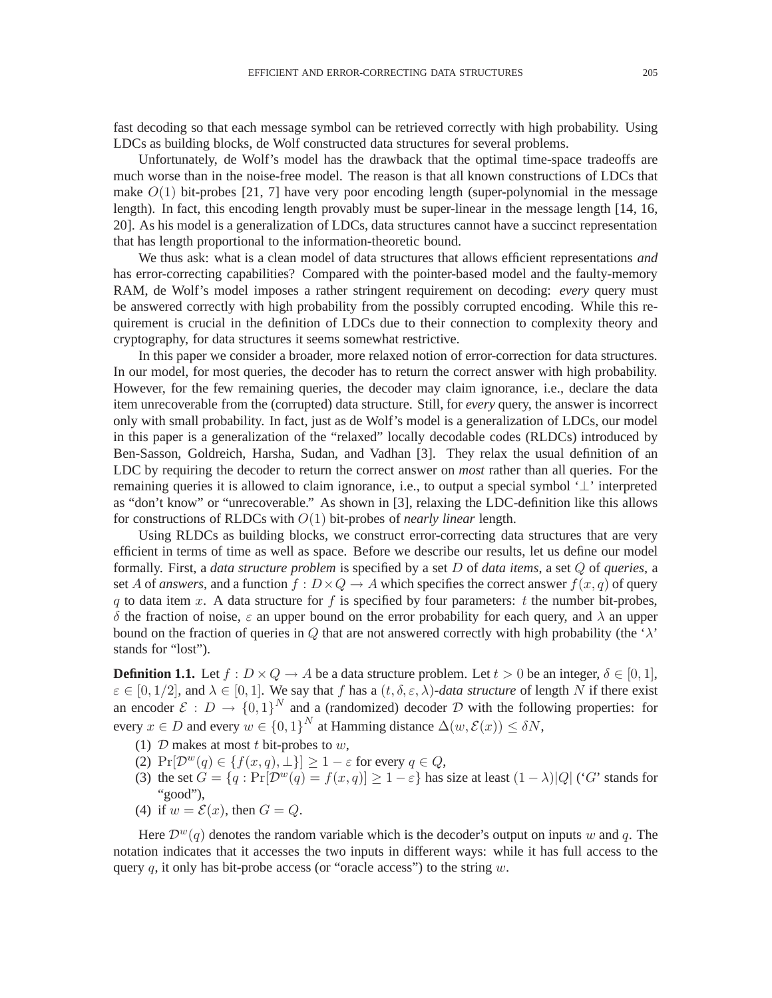fast decoding so that each message symbol can be retrieved correctly with high probability. Using LDCs as building blocks, de Wolf constructed data structures for several problems.

Unfortunately, de Wolf's model has the drawback that the optimal time-space tradeoffs are much worse than in the noise-free model. The reason is that all known constructions of LDCs that make  $O(1)$  bit-probes [21, 7] have very poor encoding length (super-polynomial in the message length). In fact, this encoding length provably must be super-linear in the message length [14, 16, 20]. As his model is a generalization of LDCs, data structures cannot have a succinct representation that has length proportional to the information-theoretic bound.

We thus ask: what is a clean model of data structures that allows efficient representations *and* has error-correcting capabilities? Compared with the pointer-based model and the faulty-memory RAM, de Wolf's model imposes a rather stringent requirement on decoding: *every* query must be answered correctly with high probability from the possibly corrupted encoding. While this requirement is crucial in the definition of LDCs due to their connection to complexity theory and cryptography, for data structures it seems somewhat restrictive.

In this paper we consider a broader, more relaxed notion of error-correction for data structures. In our model, for most queries, the decoder has to return the correct answer with high probability. However, for the few remaining queries, the decoder may claim ignorance, i.e., declare the data item unrecoverable from the (corrupted) data structure. Still, for *every* query, the answer is incorrect only with small probability. In fact, just as de Wolf's model is a generalization of LDCs, our model in this paper is a generalization of the "relaxed" locally decodable codes (RLDCs) introduced by Ben-Sasson, Goldreich, Harsha, Sudan, and Vadhan [3]. They relax the usual definition of an LDC by requiring the decoder to return the correct answer on *most* rather than all queries. For the remaining queries it is allowed to claim ignorance, i.e., to output a special symbol  $\perp$  interpreted as "don't know" or "unrecoverable." As shown in [3], relaxing the LDC-definition like this allows for constructions of RLDCs with O(1) bit-probes of *nearly linear* length.

Using RLDCs as building blocks, we construct error-correcting data structures that are very efficient in terms of time as well as space. Before we describe our results, let us define our model formally. First, a *data structure problem* is specified by a set D of *data items*, a set Q of *queries*, a set A of *answers*, and a function  $f: D \times Q \to A$  which specifies the correct answer  $f(x, q)$  of query q to data item x. A data structure for f is specified by four parameters: t the number bit-probes, δ the fraction of noise, ε an upper bound on the error probability for each query, and λ an upper bound on the fraction of queries in Q that are not answered correctly with high probability (the ' $\lambda$ ' stands for "lost").

**Definition 1.1.** Let  $f: D \times Q \to A$  be a data structure problem. Let  $t > 0$  be an integer,  $\delta \in [0, 1]$ ,  $\varepsilon \in [0, 1/2]$ , and  $\lambda \in [0, 1]$ . We say that f has a  $(t, \delta, \varepsilon, \lambda)$ -data structure of length N if there exist an encoder  $\mathcal{E}: D \to \{0,1\}^N$  and a (randomized) decoder D with the following properties: for every  $x \in D$  and every  $w \in \{0,1\}^N$  at Hamming distance  $\Delta(w, \mathcal{E}(x)) \le \delta N$ ,

- (1)  $D$  makes at most t bit-probes to w,
- (2)  $Pr[\mathcal{D}^w(q) \in \{f(x,q), \perp\}] \geq 1 \varepsilon$  for every  $q \in Q$ ,
- (3) the set  $G = \{q : Pr[\mathcal{D}^w(q) = f(x,q)] \geq 1-\varepsilon\}$  has size at least  $(1 \lambda)|Q|$  ('G' stands for "good"),
- (4) if  $w = \mathcal{E}(x)$ , then  $G = Q$ .

Here  $\mathcal{D}^{w}(q)$  denotes the random variable which is the decoder's output on inputs w and q. The notation indicates that it accesses the two inputs in different ways: while it has full access to the query q, it only has bit-probe access (or "oracle access") to the string  $w$ .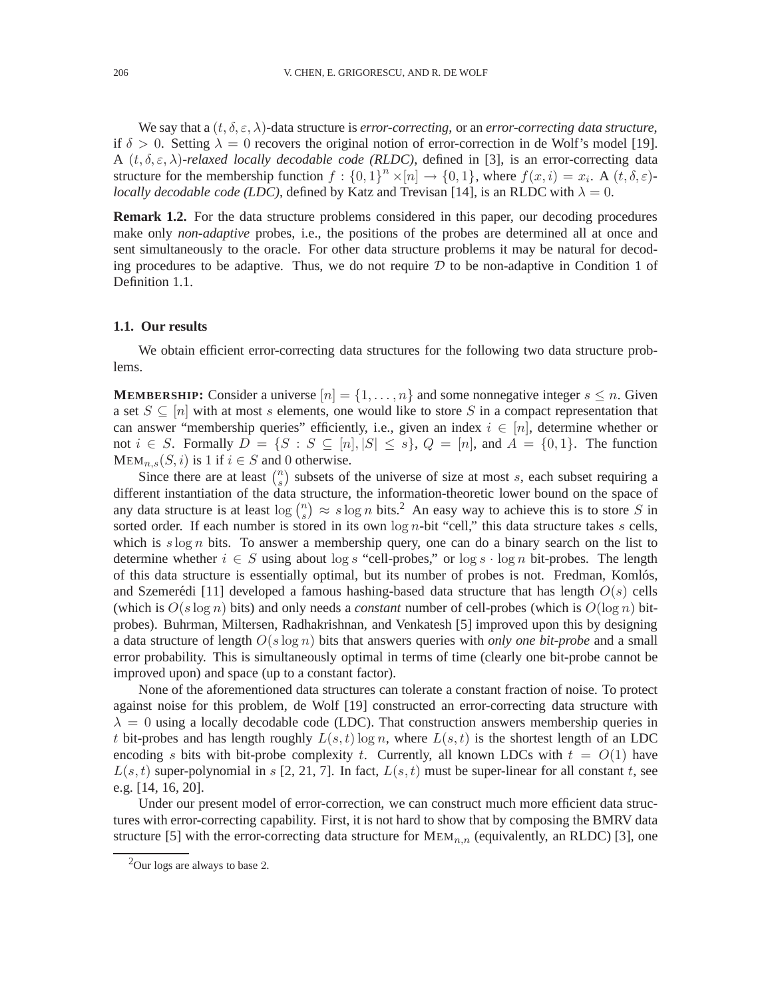We say that a  $(t, \delta, \varepsilon, \lambda)$ -data structure is *error-correcting*, or an *error-correcting data structure*, if  $\delta > 0$ . Setting  $\lambda = 0$  recovers the original notion of error-correction in de Wolf's model [19]. A  $(t, \delta, \varepsilon, \lambda)$ -relaxed locally decodable code (RLDC), defined in [3], is an error-correcting data structure for the membership function  $f: \{0,1\}^n \times [n] \to \{0,1\}$ , where  $f(x, i) = x_i$ . A  $(t, \delta, \varepsilon)$ *locally decodable code (LDC)*, defined by Katz and Trevisan [14], is an RLDC with  $\lambda = 0$ .

**Remark 1.2.** For the data structure problems considered in this paper, our decoding procedures make only *non-adaptive* probes, i.e., the positions of the probes are determined all at once and sent simultaneously to the oracle. For other data structure problems it may be natural for decoding procedures to be adaptive. Thus, we do not require  $D$  to be non-adaptive in Condition 1 of Definition 1.1.

#### **1.1. Our results**

We obtain efficient error-correcting data structures for the following two data structure problems.

**MEMBERSHIP:** Consider a universe  $[n] = \{1, \ldots, n\}$  and some nonnegative integer  $s \leq n$ . Given a set  $S \subseteq [n]$  with at most s elements, one would like to store S in a compact representation that can answer "membership queries" efficiently, i.e., given an index  $i \in [n]$ , determine whether or not  $i \in S$ . Formally  $D = \{S : S \subseteq [n], |S| \leq s\}$ ,  $Q = [n]$ , and  $A = \{0, 1\}$ . The function  $MEM_{n,s}(S,i)$  is 1 if  $i \in S$  and 0 otherwise.

Since there are at least  $\binom{n}{s}$  $s(s)$  subsets of the universe of size at most s, each subset requiring a different instantiation of the data structure, the information-theoretic lower bound on the space of any data structure is at least  $\log \binom{n}{s}$  $s_n^{(n)} \approx s \log n$  bits.<sup>2</sup> An easy way to achieve this is to store S in sorted order. If each number is stored in its own  $\log n$ -bit "cell," this data structure takes s cells, which is  $s \log n$  bits. To answer a membership query, one can do a binary search on the list to determine whether  $i \in S$  using about log s "cell-probes," or log s  $\cdot$  log n bit-probes. The length of this data structure is essentially optimal, but its number of probes is not. Fredman, Komlós, and Szemerédi [11] developed a famous hashing-based data structure that has length  $O(s)$  cells (which is  $O(s \log n)$  bits) and only needs a *constant* number of cell-probes (which is  $O(\log n)$  bitprobes). Buhrman, Miltersen, Radhakrishnan, and Venkatesh [5] improved upon this by designing a data structure of length O(s log n) bits that answers queries with *only one bit-probe* and a small error probability. This is simultaneously optimal in terms of time (clearly one bit-probe cannot be improved upon) and space (up to a constant factor).

None of the aforementioned data structures can tolerate a constant fraction of noise. To protect against noise for this problem, de Wolf [19] constructed an error-correcting data structure with  $\lambda = 0$  using a locally decodable code (LDC). That construction answers membership queries in t bit-probes and has length roughly  $L(s,t)$  log n, where  $L(s,t)$  is the shortest length of an LDC encoding s bits with bit-probe complexity t. Currently, all known LDCs with  $t = O(1)$  have  $L(s,t)$  super-polynomial in s [2, 21, 7]. In fact,  $L(s,t)$  must be super-linear for all constant t, see e.g. [14, 16, 20].

Under our present model of error-correction, we can construct much more efficient data structures with error-correcting capability. First, it is not hard to show that by composing the BMRV data structure [5] with the error-correcting data structure for  $MEM_{n,n}$  (equivalently, an RLDC) [3], one

 $2$ Our logs are always to base 2.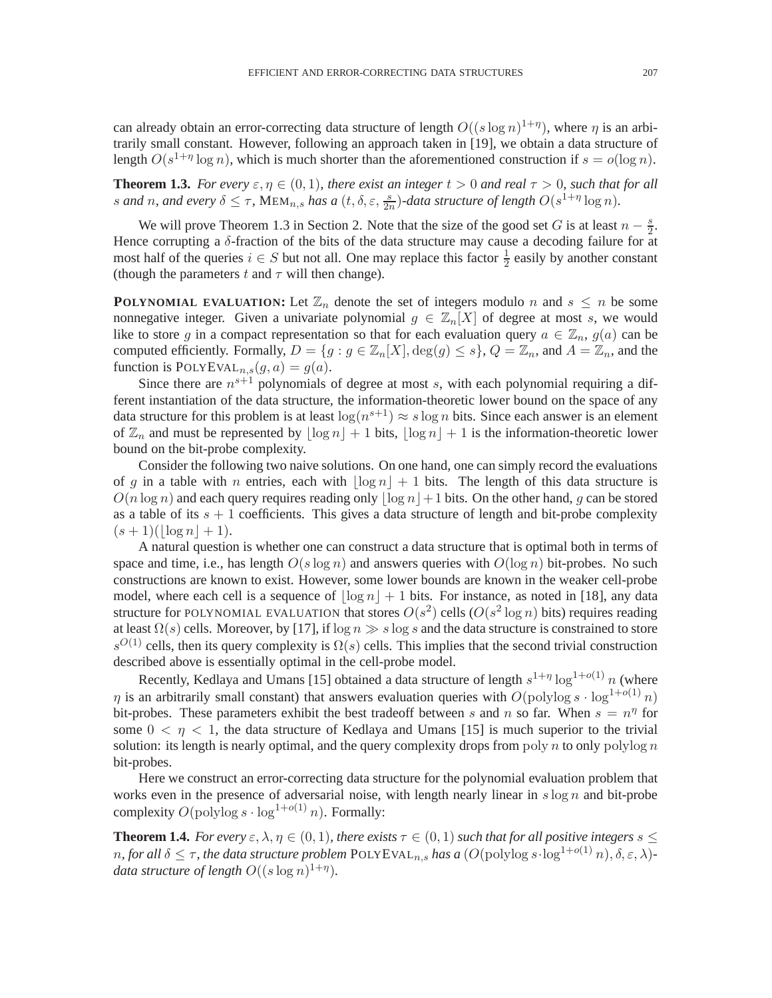can already obtain an error-correcting data structure of length  $O((s \log n)^{1+\eta})$ , where  $\eta$  is an arbitrarily small constant. However, following an approach taken in [19], we obtain a data structure of length  $O(s^{1+\eta} \log n)$ , which is much shorter than the aforementioned construction if  $s = o(\log n)$ .

**Theorem 1.3.** *For every*  $\varepsilon, \eta \in (0, 1)$ *, there exist an integer*  $t > 0$  *and real*  $\tau > 0$ *, such that for all* s and n, and every  $\delta \leq \tau$ ,  $\text{MEM}_{n,s}$  has a  $(t, \delta, \varepsilon, \frac{s}{2n})$ -data structure of length  $O(s^{1+\eta} \log n)$ .

We will prove Theorem 1.3 in Section 2. Note that the size of the good set G is at least  $n - \frac{s}{2}$  $\frac{s}{2}$ . Hence corrupting a  $\delta$ -fraction of the bits of the data structure may cause a decoding failure for at most half of the queries  $i \in S$  but not all. One may replace this factor  $\frac{1}{2}$  easily by another constant (though the parameters t and  $\tau$  will then change).

**POLYNOMIAL EVALUATION:** Let  $\mathbb{Z}_n$  denote the set of integers modulo n and  $s \leq n$  be some nonnegative integer. Given a univariate polynomial  $g \in \mathbb{Z}_n[X]$  of degree at most s, we would like to store g in a compact representation so that for each evaluation query  $a \in \mathbb{Z}_n$ ,  $g(a)$  can be computed efficiently. Formally,  $D = \{g : g \in \mathbb{Z}_n[X], \deg(g) \leq s\}$ ,  $Q = \mathbb{Z}_n$ , and  $A = \mathbb{Z}_n$ , and the function is  $\text{POLYEVAL}_{n,s}(g,a) = g(a)$ .

Since there are  $n^{s+1}$  polynomials of degree at most s, with each polynomial requiring a different instantiation of the data structure, the information-theoretic lower bound on the space of any data structure for this problem is at least  $log(n^{s+1}) \approx s log n$  bits. Since each answer is an element of  $\mathbb{Z}_n$  and must be represented by  $|\log n| + 1$  bits,  $|\log n| + 1$  is the information-theoretic lower bound on the bit-probe complexity.

Consider the following two naive solutions. On one hand, one can simply record the evaluations of g in a table with n entries, each with  $|\log n| + 1$  bits. The length of this data structure is  $O(n \log n)$  and each query requires reading only  $|\log n| + 1$  bits. On the other hand, g can be stored as a table of its  $s + 1$  coefficients. This gives a data structure of length and bit-probe complexity  $(s + 1)(\vert \log n \vert + 1).$ 

A natural question is whether one can construct a data structure that is optimal both in terms of space and time, i.e., has length  $O(s \log n)$  and answers queries with  $O(\log n)$  bit-probes. No such constructions are known to exist. However, some lower bounds are known in the weaker cell-probe model, where each cell is a sequence of  $|\log n| + 1$  bits. For instance, as noted in [18], any data structure for POLYNOMIAL EVALUATION that stores  $O(s^2)$  cells  $(O(s^2 \log n)$  bits) requires reading at least  $\Omega(s)$  cells. Moreover, by [17], if  $\log n \gg s \log s$  and the data structure is constrained to store  $s^{O(1)}$  cells, then its query complexity is  $\Omega(s)$  cells. This implies that the second trivial construction described above is essentially optimal in the cell-probe model.

Recently, Kedlaya and Umans [15] obtained a data structure of length  $s^{1+\eta} \log^{1+o(1)} n$  (where  $\eta$  is an arbitrarily small constant) that answers evaluation queries with  $O(polylog s \cdot log^{1+o(1)} n)$ bit-probes. These parameters exhibit the best tradeoff between s and n so far. When  $s = n^{\eta}$  for some  $0 < \eta < 1$ , the data structure of Kedlaya and Umans [15] is much superior to the trivial solution: its length is nearly optimal, and the query complexity drops from poly n to only polylog n bit-probes.

Here we construct an error-correcting data structure for the polynomial evaluation problem that works even in the presence of adversarial noise, with length nearly linear in  $s \log n$  and bit-probe complexity  $O(polylog s \cdot log^{1+o(1)} n)$ . Formally:

**Theorem 1.4.** *For every*  $\varepsilon$ ,  $\lambda$ ,  $\eta \in (0,1)$ , *there exists*  $\tau \in (0,1)$  *such that for all positive integers*  $s \leq$ *n*, for all  $\delta \leq \tau$ , the data structure problem POLYEVAL<sub>n,s</sub> has a  $(O(\text{polylog } s \cdot \log^{1+o(1)} n), \delta, \varepsilon, \lambda)$ *data structure of length*  $O((s \log n)^{1+\eta}).$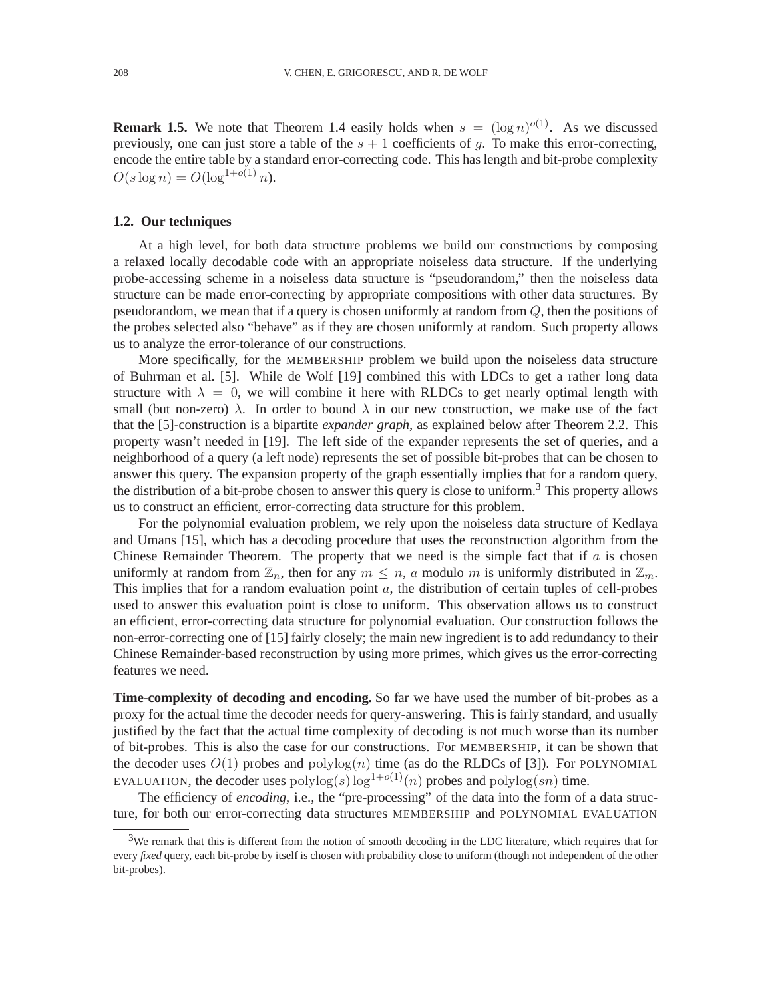**Remark 1.5.** We note that Theorem 1.4 easily holds when  $s = (\log n)^{o(1)}$ . As we discussed previously, one can just store a table of the  $s + 1$  coefficients of q. To make this error-correcting, encode the entire table by a standard error-correcting code. This has length and bit-probe complexity  $O(s \log n) = O(\log^{1+o(1)} n).$ 

#### **1.2. Our techniques**

At a high level, for both data structure problems we build our constructions by composing a relaxed locally decodable code with an appropriate noiseless data structure. If the underlying probe-accessing scheme in a noiseless data structure is "pseudorandom," then the noiseless data structure can be made error-correcting by appropriate compositions with other data structures. By pseudorandom, we mean that if a query is chosen uniformly at random from  $Q$ , then the positions of the probes selected also "behave" as if they are chosen uniformly at random. Such property allows us to analyze the error-tolerance of our constructions.

More specifically, for the MEMBERSHIP problem we build upon the noiseless data structure of Buhrman et al. [5]. While de Wolf [19] combined this with LDCs to get a rather long data structure with  $\lambda = 0$ , we will combine it here with RLDCs to get nearly optimal length with small (but non-zero)  $\lambda$ . In order to bound  $\lambda$  in our new construction, we make use of the fact that the [5]-construction is a bipartite *expander graph*, as explained below after Theorem 2.2. This property wasn't needed in [19]. The left side of the expander represents the set of queries, and a neighborhood of a query (a left node) represents the set of possible bit-probes that can be chosen to answer this query. The expansion property of the graph essentially implies that for a random query, the distribution of a bit-probe chosen to answer this query is close to uniform.<sup>3</sup> This property allows us to construct an efficient, error-correcting data structure for this problem.

For the polynomial evaluation problem, we rely upon the noiseless data structure of Kedlaya and Umans [15], which has a decoding procedure that uses the reconstruction algorithm from the Chinese Remainder Theorem. The property that we need is the simple fact that if  $a$  is chosen uniformly at random from  $\mathbb{Z}_n$ , then for any  $m \leq n$ , a modulo m is uniformly distributed in  $\mathbb{Z}_m$ . This implies that for a random evaluation point  $a$ , the distribution of certain tuples of cell-probes used to answer this evaluation point is close to uniform. This observation allows us to construct an efficient, error-correcting data structure for polynomial evaluation. Our construction follows the non-error-correcting one of [15] fairly closely; the main new ingredient is to add redundancy to their Chinese Remainder-based reconstruction by using more primes, which gives us the error-correcting features we need.

**Time-complexity of decoding and encoding.** So far we have used the number of bit-probes as a proxy for the actual time the decoder needs for query-answering. This is fairly standard, and usually justified by the fact that the actual time complexity of decoding is not much worse than its number of bit-probes. This is also the case for our constructions. For MEMBERSHIP, it can be shown that the decoder uses  $O(1)$  probes and  $polylog(n)$  time (as do the RLDCs of [3]). For POLYNOMIAL EVALUATION, the decoder uses  $\text{polylog}(s) \log^{1+o(1)}(n)$  probes and  $\text{polylog}(sn)$  time.

The efficiency of *encoding*, i.e., the "pre-processing" of the data into the form of a data structure, for both our error-correcting data structures MEMBERSHIP and POLYNOMIAL EVALUATION

 $3W$ e remark that this is different from the notion of smooth decoding in the LDC literature, which requires that for every *fixed* query, each bit-probe by itself is chosen with probability close to uniform (though not independent of the other bit-probes).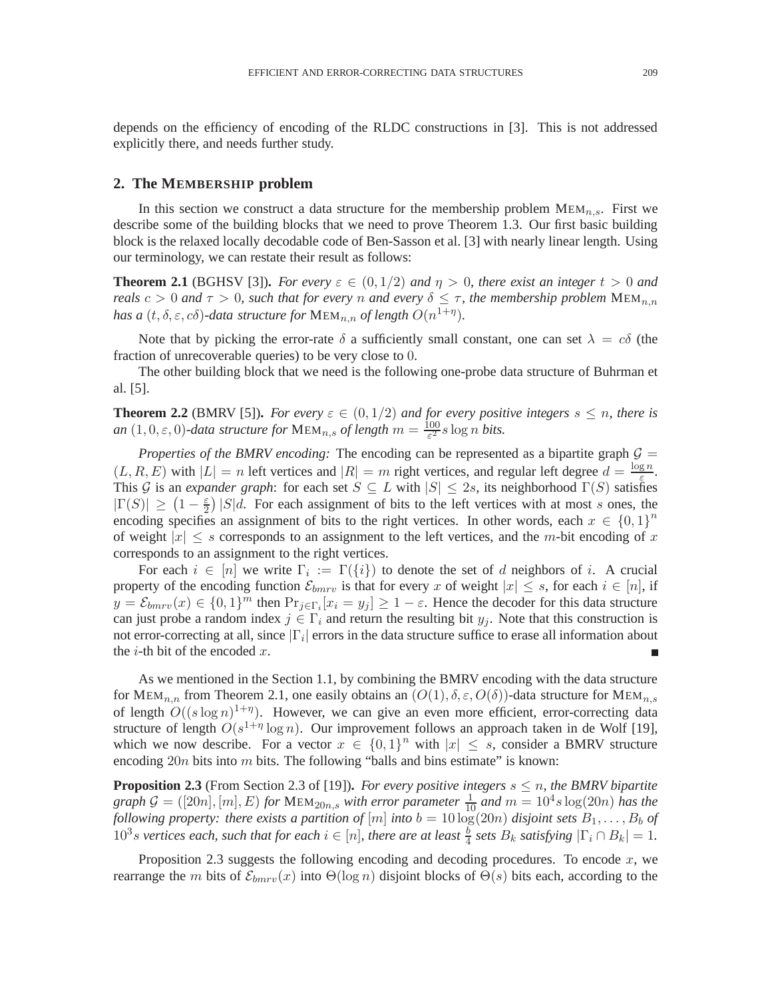depends on the efficiency of encoding of the RLDC constructions in [3]. This is not addressed explicitly there, and needs further study.

#### **2. The MEMBERSHIP problem**

In this section we construct a data structure for the membership problem  $MEM_{n,s}$ . First we describe some of the building blocks that we need to prove Theorem 1.3. Our first basic building block is the relaxed locally decodable code of Ben-Sasson et al. [3] with nearly linear length. Using our terminology, we can restate their result as follows:

**Theorem 2.1** (BGHSV [3]). *For every*  $\varepsilon \in (0,1/2)$  *and*  $\eta > 0$ *, there exist an integer*  $t > 0$  *and reals*  $c > 0$  *and*  $\tau > 0$ *, such that for every n and every*  $\delta \leq \tau$ *, the membership problem*  $MEM_{n,n}$ has a  $(t, \delta, \varepsilon, c\delta)$ -data structure for  $\text{MEM}_{n,n}$  of length  $O(n^{1+\eta})$ .

Note that by picking the error-rate  $\delta$  a sufficiently small constant, one can set  $\lambda = c\delta$  (the fraction of unrecoverable queries) to be very close to 0.

The other building block that we need is the following one-probe data structure of Buhrman et al. [5].

**Theorem 2.2** (BMRV [5]). For every  $\varepsilon \in (0,1/2)$  and for every positive integers  $s \leq n$ , there is *an*  $(1,0,\varepsilon,0)$ -data structure for  $\text{MEM}_{n,s}$  of length  $m = \frac{100}{\varepsilon^2}$  $\frac{100}{\varepsilon^2}$ *s* log *n bits*.

*Properties of the BMRV encoding:* The encoding can be represented as a bipartite graph  $G =$  $(L, R, E)$  with  $|L| = n$  left vertices and  $|R| = m$  right vertices, and regular left degree  $d = \frac{\log n}{\epsilon}$  $rac{\mathbf{g} n}{\varepsilon}$ . This G is an *expander graph*: for each set  $S \subseteq L$  with  $|S| \le 2s$ , its neighborhood  $\Gamma(S)$  satisfies  $|\Gamma(S)| \geq (1-\frac{\varepsilon}{2}) |S|d$ . For each assignment of bits to the left vertices with at most s ones, the encoding specifies an assignment of bits to the right vertices. In other words, each  $x \in \{0,1\}^n$ of weight  $|x| \leq s$  corresponds to an assignment to the left vertices, and the m-bit encoding of x corresponds to an assignment to the right vertices.

For each  $i \in [n]$  we write  $\Gamma_i := \Gamma(\{i\})$  to denote the set of d neighbors of i. A crucial property of the encoding function  $\mathcal{E}_{b m r v}$  is that for every x of weight  $|x| \leq s$ , for each  $i \in [n]$ , if  $y = \mathcal{E}_{bmrv}(x) \in \{0,1\}^m$  then  $\Pr_{j \in \Gamma_i}[x_i = y_j] \ge 1 - \varepsilon$ . Hence the decoder for this data structure can just probe a random index  $j \in \Gamma_i$  and return the resulting bit  $y_j$ . Note that this construction is not error-correcting at all, since  $|\Gamma_i|$  errors in the data structure suffice to erase all information about the *i*-th bit of the encoded  $x$ .

As we mentioned in the Section 1.1, by combining the BMRV encoding with the data structure for MEM<sub>n,n</sub> from Theorem 2.1, one easily obtains an  $(O(1), \delta, \varepsilon, O(\delta))$ -data structure for MEM<sub>n,s</sub> of length  $O((s \log n)^{1+\eta})$ . However, we can give an even more efficient, error-correcting data structure of length  $O(s^{1+\eta} \log n)$ . Our improvement follows an approach taken in de Wolf [19], which we now describe. For a vector  $x \in \{0,1\}^n$  with  $|x| \leq s$ , consider a BMRV structure encoding  $20n$  bits into m bits. The following "balls and bins estimate" is known:

**Proposition 2.3** (From Section 2.3 of [19]). *For every positive integers*  $s \leq n$ *, the BMRV bipartite*  $graph \mathcal{G} = ([20n], [m], E)$  *for*  $MEM_{20n,s}$  *with error parameter*  $\frac{1}{10}$  *and*  $m = 10^4 s \log(20n)$  *has the following property: there exists a partition of*  $[m]$  *into*  $b = 10 \log(20n)$  *disjoint sets*  $B_1, \ldots, B_b$  *of*  $10^3$ s vertices each, such that for each  $i \in [n]$ , there are at least  $\frac{b}{4}$  sets  $B_k$  satisfying  $|\Gamma_i \cap B_k| = 1$ .

Proposition 2.3 suggests the following encoding and decoding procedures. To encode  $x$ , we rearrange the m bits of  $\mathcal{E}_{bmrv}(x)$  into  $\Theta(\log n)$  disjoint blocks of  $\Theta(s)$  bits each, according to the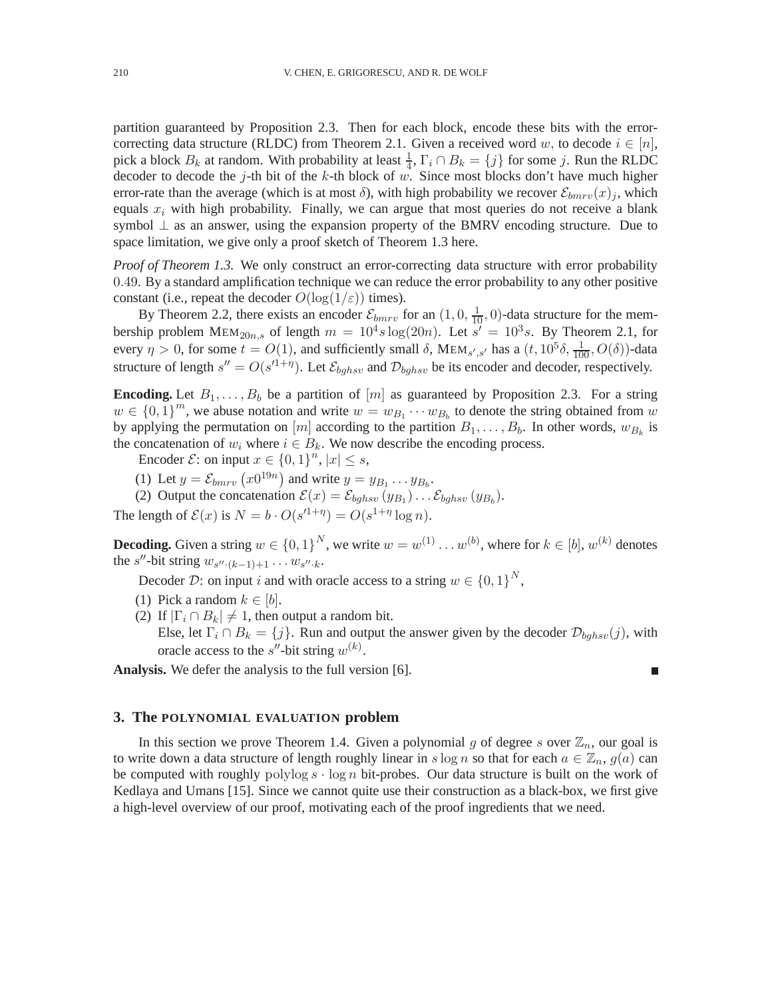partition guaranteed by Proposition 2.3. Then for each block, encode these bits with the errorcorrecting data structure (RLDC) from Theorem 2.1. Given a received word w, to decode  $i \in [n]$ , pick a block  $B_k$  at random. With probability at least  $\frac{1}{4}$ ,  $\Gamma_i \cap B_k = \{j\}$  for some j. Run the RLDC decoder to decode the j-th bit of the k-th block of  $w$ . Since most blocks don't have much higher error-rate than the average (which is at most  $\delta$ ), with high probability we recover  $\mathcal{E}_{bmrv}(x)$ , which equals  $x_i$  with high probability. Finally, we can argue that most queries do not receive a blank symbol ⊥ as an answer, using the expansion property of the BMRV encoding structure. Due to space limitation, we give only a proof sketch of Theorem 1.3 here.

*Proof of Theorem 1.3.* We only construct an error-correcting data structure with error probability 0.49. By a standard amplification technique we can reduce the error probability to any other positive constant (i.e., repeat the decoder  $O(\log(1/\varepsilon))$  times).

By Theorem 2.2, there exists an encoder  $\mathcal{E}_{bmrv}$  for an  $(1, 0, \frac{1}{10}, 0)$ -data structure for the membership problem  $MEM_{20n,s}$  of length  $m = 10<sup>4</sup>s \log(20n)$ . Let  $s' = 10<sup>3</sup>s$ . By Theorem 2.1, for every  $\eta > 0$ , for some  $t = O(1)$ , and sufficiently small  $\delta$ , MEM<sub>s',s'</sub> has a  $(t, 10^5 \delta, \frac{1}{100}, O(\delta))$ -data structure of length  $s'' = O(s'^{1+\eta})$ . Let  $\mathcal{E}_{bghsv}$  and  $\mathcal{D}_{bghsv}$  be its encoder and decoder, respectively.

**Encoding.** Let  $B_1, \ldots, B_b$  be a partition of  $[m]$  as guaranteed by Proposition 2.3. For a string  $w \in \{0, 1\}^m$ , we abuse notation and write  $w = w_{B_1} \cdots w_{B_b}$  to denote the string obtained from w by applying the permutation on  $[m]$  according to the partition  $B_1, \ldots, B_b$ . In other words,  $w_{B_k}$  is the concatenation of  $w_i$  where  $i \in B_k$ . We now describe the encoding process.

Encoder  $\mathcal{E}$ : on input  $x \in \{0,1\}^n$ ,  $|x| \leq s$ ,

- (1) Let  $y = \mathcal{E}_{b m r v} (x 0^{19n})$  and write  $y = y_{B_1} \dots y_{B_b}$ .
- (2) Output the concatenation  $\mathcal{E}(x) = \mathcal{E}_{bghsv}(y_{B_1}) \dots \mathcal{E}_{bghsv}(y_{B_b})$ .

The length of  $\mathcal{E}(x)$  is  $N = b \cdot O(s^{1+\eta}) = O(s^{1+\eta} \log n)$ .

**Decoding.** Given a string  $w \in \{0,1\}^N$ , we write  $w = w^{(1)} \dots w^{(b)}$ , where for  $k \in [b]$ ,  $w^{(k)}$  denotes the s''-bit string  $w_{s''\cdot(k-1)+1} \dots w_{s''\cdot k}$ .

Decoder D: on input *i* and with oracle access to a string  $w \in \{0, 1\}^N$ ,

- (1) Pick a random  $k \in [b]$ .
- (2) If  $|\Gamma_i \cap B_k| \neq 1$ , then output a random bit.

Else, let  $\Gamma_i \cap B_k = \{j\}$ . Run and output the answer given by the decoder  $\mathcal{D}_{bahsv}(j)$ , with oracle access to the s''-bit string  $w^{(k)}$ .

**Analysis.** We defer the analysis to the full version [6].

г

#### **3. The POLYNOMIAL EVALUATION problem**

In this section we prove Theorem 1.4. Given a polynomial g of degree s over  $\mathbb{Z}_n$ , our goal is to write down a data structure of length roughly linear in s log n so that for each  $a \in \mathbb{Z}_n$ ,  $g(a)$  can be computed with roughly polylog  $s \cdot \log n$  bit-probes. Our data structure is built on the work of Kedlaya and Umans [15]. Since we cannot quite use their construction as a black-box, we first give a high-level overview of our proof, motivating each of the proof ingredients that we need.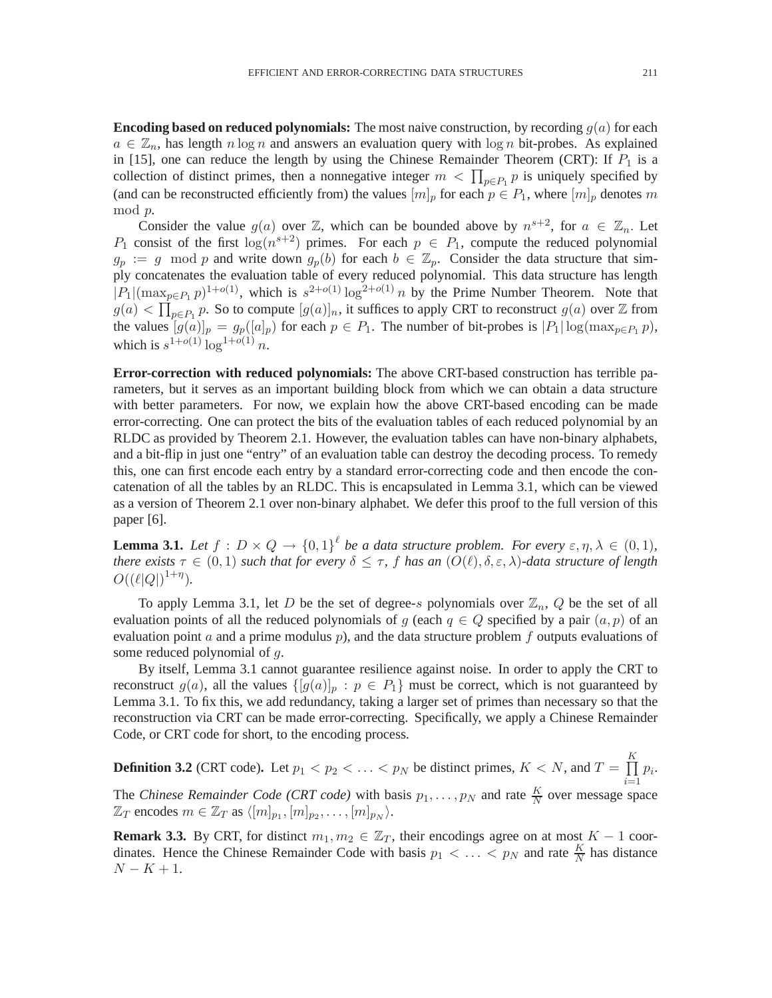**Encoding based on reduced polynomials:** The most naive construction, by recording  $q(a)$  for each  $a \in \mathbb{Z}_n$ , has length n log n and answers an evaluation query with log n bit-probes. As explained in [15], one can reduce the length by using the Chinese Remainder Theorem (CRT): If  $P_1$  is a collection of distinct primes, then a nonnegative integer  $m < \prod_{p \in P_1} p$  is uniquely specified by (and can be reconstructed efficiently from) the values  $[m]_p$  for each  $p \in P_1$ , where  $[m]_p$  denotes m mod p.

Consider the value  $g(a)$  over  $\mathbb{Z}$ , which can be bounded above by  $n^{s+2}$ , for  $a \in \mathbb{Z}_n$ . Let  $P_1$  consist of the first  $\log(n^{s+2})$  primes. For each  $p \in P_1$ , compute the reduced polynomial  $g_p := g \mod p$  and write down  $g_p(b)$  for each  $b \in \mathbb{Z}_p$ . Consider the data structure that simply concatenates the evaluation table of every reduced polynomial. This data structure has length  $|P_1|(\max_{p\in P_1} p)^{1+o(1)}$ , which is  $s^{2+o(1)}\log^{2+o(1)} n$  by the Prime Number Theorem. Note that  $g(a) < \prod_{p \in P_1} p$ . So to compute  $[g(a)]_n$ , it suffices to apply CRT to reconstruct  $g(a)$  over  $\mathbb Z$  from the values  $[g(a)]_p = g_p([a]_p)$  for each  $p \in P_1$ . The number of bit-probes is  $|P_1| \log(\max_{p \in P_1} p)$ , which is  $s^{1+o(1)} \log^{1+o(1)} n$ .

**Error-correction with reduced polynomials:** The above CRT-based construction has terrible parameters, but it serves as an important building block from which we can obtain a data structure with better parameters. For now, we explain how the above CRT-based encoding can be made error-correcting. One can protect the bits of the evaluation tables of each reduced polynomial by an RLDC as provided by Theorem 2.1. However, the evaluation tables can have non-binary alphabets, and a bit-flip in just one "entry" of an evaluation table can destroy the decoding process. To remedy this, one can first encode each entry by a standard error-correcting code and then encode the concatenation of all the tables by an RLDC. This is encapsulated in Lemma 3.1, which can be viewed as a version of Theorem 2.1 over non-binary alphabet. We defer this proof to the full version of this paper [6].

**Lemma 3.1.** Let  $f: D \times Q \rightarrow \{0,1\}^{\ell}$  be a data structure problem. For every  $\varepsilon, \eta, \lambda \in (0,1)$ , *there exists*  $\tau \in (0,1)$  *such that for every*  $\delta \leq \tau$ , f *has an*  $(O(\ell), \delta, \epsilon, \lambda)$ *-data structure of length*  $O((\ell|Q|)^{1+\eta}).$ 

To apply Lemma 3.1, let D be the set of degree-s polynomials over  $\mathbb{Z}_n$ , Q be the set of all evaluation points of all the reduced polynomials of g (each  $q \in Q$  specified by a pair  $(a, p)$  of an evaluation point a and a prime modulus  $p$ ), and the data structure problem  $f$  outputs evaluations of some reduced polynomial of q.

By itself, Lemma 3.1 cannot guarantee resilience against noise. In order to apply the CRT to reconstruct  $g(a)$ , all the values  $\{[g(a)]_p : p \in P_1\}$  must be correct, which is not guaranteed by Lemma 3.1. To fix this, we add redundancy, taking a larger set of primes than necessary so that the reconstruction via CRT can be made error-correcting. Specifically, we apply a Chinese Remainder Code, or CRT code for short, to the encoding process.

**Definition 3.2** (CRT code). Let  $p_1 < p_2 < \ldots < p_N$  be distinct primes,  $K < N$ , and  $T = \prod$ K  $i=1$  $p_i$ . The *Chinese Remainder Code (CRT code)* with basis  $p_1, \ldots, p_N$  and rate  $\frac{K}{N}$  over message space  $\mathbb{Z}_T$  encodes  $m \in \mathbb{Z}_T$  as  $\langle [m]_{p_1}, [m]_{p_2}, \ldots, [m]_{p_N} \rangle$ .

**Remark 3.3.** By CRT, for distinct  $m_1, m_2 \in \mathbb{Z}_T$ , their encodings agree on at most  $K - 1$  coordinates. Hence the Chinese Remainder Code with basis  $p_1 < \ldots < p_N$  and rate  $\frac{K}{N}$  has distance  $N - K + 1$ .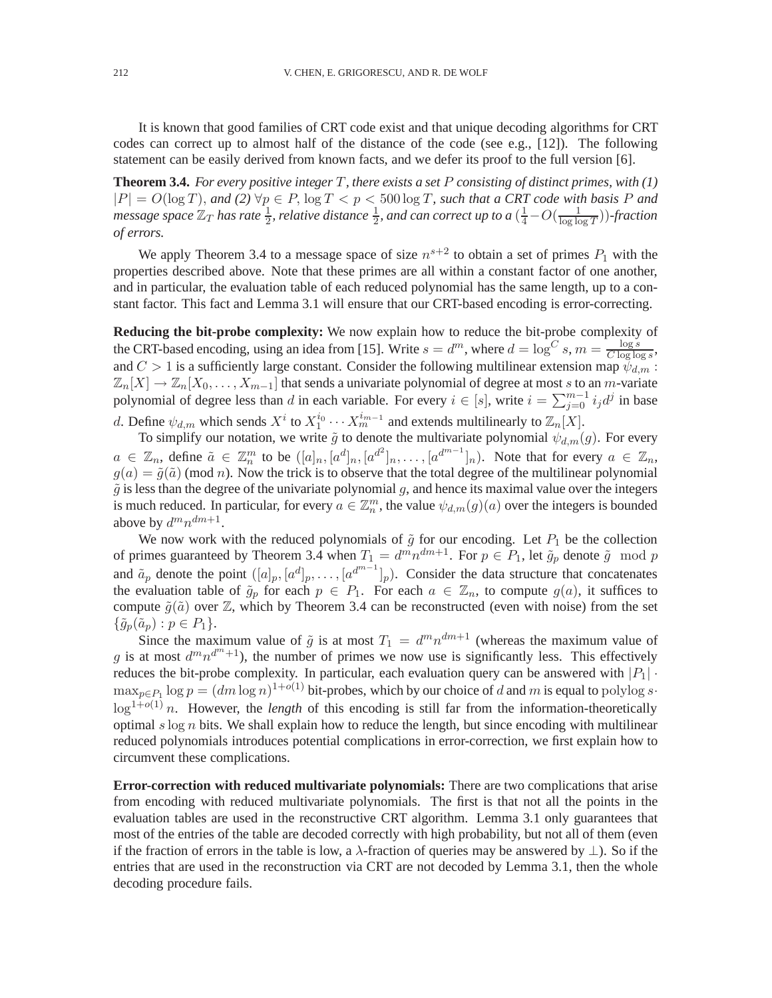It is known that good families of CRT code exist and that unique decoding algorithms for CRT codes can correct up to almost half of the distance of the code (see e.g., [12]). The following statement can be easily derived from known facts, and we defer its proof to the full version [6].

**Theorem 3.4.** *For every positive integer* T*, there exists a set* P *consisting of distinct primes, with (1)*  $|P| = O(\log T)$ , and (2)  $\forall p \in P$ ,  $\log T < p < 500 \log T$ , such that a CRT code with basis P and  $m$ essage space  $\mathbb{Z}_T$  has rate  $\frac{1}{2}$ , relative distance  $\frac{1}{2}$ , and can correct up to a  $(\frac{1}{4} - O(\frac{1}{\log\log T}))$ -fraction *of errors.*

We apply Theorem 3.4 to a message space of size  $n^{s+2}$  to obtain a set of primes  $P_1$  with the properties described above. Note that these primes are all within a constant factor of one another, and in particular, the evaluation table of each reduced polynomial has the same length, up to a constant factor. This fact and Lemma 3.1 will ensure that our CRT-based encoding is error-correcting.

**Reducing the bit-probe complexity:** We now explain how to reduce the bit-probe complexity of the CRT-based encoding, using an idea from [15]. Write  $s = d^m$ , where  $d = \log^C s$ ,  $m = \frac{\log s}{C \log \log a}$  $\frac{\log s}{C \log \log s},$ and  $C > 1$  is a sufficiently large constant. Consider the following multilinear extension map  $\psi_{d,m}$ :  $\mathbb{Z}_n[X] \to \mathbb{Z}_n[X_0,\ldots,X_{m-1}]$  that sends a univariate polynomial of degree at most s to an m-variate polynomial of degree less than d in each variable. For every  $i \in [s]$ , write  $i = \sum_{j=0}^{m-1} i_j d^j$  in base

d. Define  $\psi_{d,m}$  which sends  $X^i$  to  $X_1^{i_0} \cdots X_m^{i_{m-1}}$  and extends multilinearly to  $\mathbb{Z}_n[X]$ .

To simplify our notation, we write  $\tilde{g}$  to denote the multivariate polynomial  $\psi_{d,m}(g)$ . For every  $a \in \mathbb{Z}_n$ , define  $\tilde{a} \in \mathbb{Z}_n^m$  to be  $([a]_n, [a^d]_n, [a^{d^2}]_n, \ldots, [a^{d^{m-1}}]_n)$ . Note that for every  $a \in \mathbb{Z}_n$ ,  $g(a) = \tilde{g}(\tilde{a})$  (mod *n*). Now the trick is to observe that the total degree of the multilinear polynomial  $\tilde{g}$  is less than the degree of the univariate polynomial g, and hence its maximal value over the integers is much reduced. In particular, for every  $a \in \mathbb{Z}_n^m$ , the value  $\psi_{d,m}(g)(a)$  over the integers is bounded above by  $d^m n^{dm+1}$ .

We now work with the reduced polynomials of  $\tilde{g}$  for our encoding. Let  $P_1$  be the collection of primes guaranteed by Theorem 3.4 when  $T_1 = d^m n^{dm+1}$ . For  $p \in P_1$ , let  $\tilde{g}_p$  denote  $\tilde{g} \mod p$ and  $\tilde{a}_p$  denote the point  $([a]_p, [a^d]_p, \ldots, [a^{d^{m-1}}]_p)$ . Consider the data structure that concatenates the evaluation table of  $\tilde{g}_p$  for each  $p \in P_1$ . For each  $a \in \mathbb{Z}_n$ , to compute  $g(a)$ , it suffices to compute  $\tilde{g}(\tilde{a})$  over  $\mathbb{Z}$ , which by Theorem 3.4 can be reconstructed (even with noise) from the set  $\{\tilde{g}_p(\tilde{a}_p) : p \in P_1\}.$ 

Since the maximum value of  $\tilde{g}$  is at most  $T_1 = d^m n^{dm+1}$  (whereas the maximum value of g is at most  $d^m n^{d^m+1}$ ), the number of primes we now use is significantly less. This effectively reduces the bit-probe complexity. In particular, each evaluation query can be answered with  $|P_1|$ .  $\max_{p \in P_1} \log p = (dm \log n)^{1+o(1)}$  bit-probes, which by our choice of d and m is equal to polylog s.  $\log^{1+o(1)} n$ . However, the *length* of this encoding is still far from the information-theoretically optimal  $s \log n$  bits. We shall explain how to reduce the length, but since encoding with multilinear reduced polynomials introduces potential complications in error-correction, we first explain how to circumvent these complications.

**Error-correction with reduced multivariate polynomials:** There are two complications that arise from encoding with reduced multivariate polynomials. The first is that not all the points in the evaluation tables are used in the reconstructive CRT algorithm. Lemma 3.1 only guarantees that most of the entries of the table are decoded correctly with high probability, but not all of them (even if the fraction of errors in the table is low, a  $\lambda$ -fraction of queries may be answered by  $\perp$ ). So if the entries that are used in the reconstruction via CRT are not decoded by Lemma 3.1, then the whole decoding procedure fails.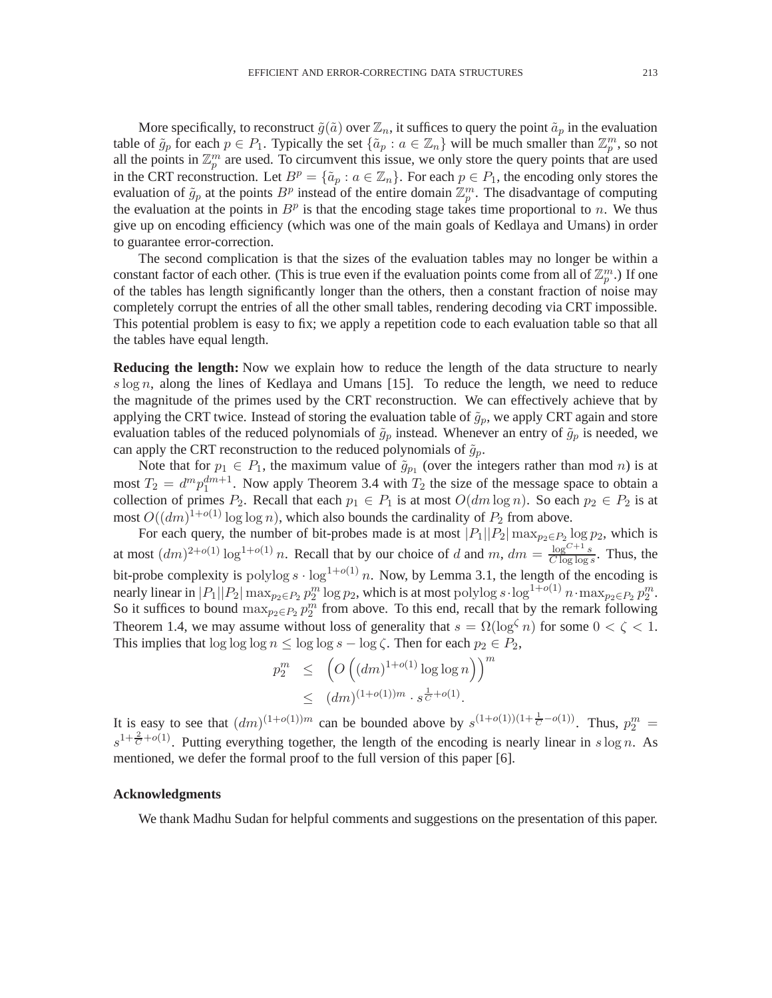More specifically, to reconstruct  $\tilde{g}(\tilde{a})$  over  $\mathbb{Z}_n$ , it suffices to query the point  $\tilde{a}_p$  in the evaluation table of  $\tilde{g}_p$  for each  $p \in P_1$ . Typically the set  $\{\tilde{a}_p : a \in \mathbb{Z}_n\}$  will be much smaller than  $\mathbb{Z}_p^m$ , so not all the points in  $\mathbb{Z}_p^m$  are used. To circumvent this issue, we only store the query points that are used in the CRT reconstruction. Let  $B^p = \{\tilde{a}_p : a \in \mathbb{Z}_n\}$ . For each  $p \in P_1$ , the encoding only stores the evaluation of  $\tilde{g}_p$  at the points  $B^p$  instead of the entire domain  $\mathbb{Z}_p^m$ . The disadvantage of computing the evaluation at the points in  $B<sup>p</sup>$  is that the encoding stage takes time proportional to n. We thus give up on encoding efficiency (which was one of the main goals of Kedlaya and Umans) in order to guarantee error-correction.

The second complication is that the sizes of the evaluation tables may no longer be within a constant factor of each other. (This is true even if the evaluation points come from all of  $\mathbb{Z}_p^m$ .) If one of the tables has length significantly longer than the others, then a constant fraction of noise may completely corrupt the entries of all the other small tables, rendering decoding via CRT impossible. This potential problem is easy to fix; we apply a repetition code to each evaluation table so that all the tables have equal length.

**Reducing the length:** Now we explain how to reduce the length of the data structure to nearly s log n, along the lines of Kedlaya and Umans  $[15]$ . To reduce the length, we need to reduce the magnitude of the primes used by the CRT reconstruction. We can effectively achieve that by applying the CRT twice. Instead of storing the evaluation table of  $\tilde{g}_p$ , we apply CRT again and store evaluation tables of the reduced polynomials of  $\tilde{g}_p$  instead. Whenever an entry of  $\tilde{g}_p$  is needed, we can apply the CRT reconstruction to the reduced polynomials of  $\tilde{g}_p$ .

Note that for  $p_1 \in P_1$ , the maximum value of  $\tilde{g}_{p_1}$  (over the integers rather than mod *n*) is at most  $T_2 = d^m p_1^{dm+1}$ . Now apply Theorem 3.4 with  $T_2$  the size of the message space to obtain a collection of primes  $P_2$ . Recall that each  $p_1 \in P_1$  is at most  $O(dm \log n)$ . So each  $p_2 \in P_2$  is at most  $O((dm)^{1+o(1)} \log \log n)$ , which also bounds the cardinality of  $P_2$  from above.

For each query, the number of bit-probes made is at most  $|P_1||P_2|\max_{p_2 \in P_2} \log p_2$ , which is at most  $(dm)^{2+o(1)} \log^{1+o(1)} n$ . Recall that by our choice of d and  $m$ ,  $dm = \frac{\log^{C+1} s}{C \log^{C+1} s}$  $\frac{\log e^{-x}}{C \log \log s}$ . Thus, the bit-probe complexity is polylog  $s \cdot \log^{1+o(1)} n$ . Now, by Lemma 3.1, the length of the encoding is nearly linear in  $|P_1||P_2| \max_{p_2 \in P_2} p_2^m \log p_2$ , which is at most polylog  $s \cdot \log^{1+o(1)} n \cdot \max_{p_2 \in P_2} p_2^m$ . So it suffices to bound  $\max_{p_2 \in P_2} p_2^m$  from above. To this end, recall that by the remark following Theorem 1.4, we may assume without loss of generality that  $s = \Omega(\log^{\zeta} n)$  for some  $0 < \zeta < 1$ . This implies that  $\log \log \log n \leq \log \log s - \log \zeta$ . Then for each  $p_2 \in P_2$ ,

$$
p_2^m \le \left( O\left( (dm)^{1+o(1)} \log \log n \right) \right)^m
$$
  
 
$$
\le (dm)^{(1+o(1))m} \cdot s^{\frac{1}{C}+o(1)}.
$$

It is easy to see that  $(dm)^{(1+o(1))m}$  can be bounded above by  $s^{(1+o(1))(1+\frac{1}{C}-o(1))}$ . Thus,  $p_2^m =$  $s^{1+\frac{2}{C}+o(1)}$ . Putting everything together, the length of the encoding is nearly linear in s log n. As mentioned, we defer the formal proof to the full version of this paper [6].

#### **Acknowledgments**

We thank Madhu Sudan for helpful comments and suggestions on the presentation of this paper.